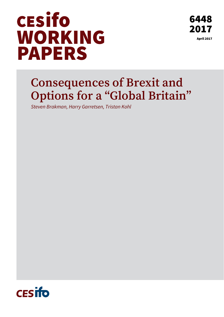

# **Consequences of Brexit and Options for a "Global Britain"**

*Steven Brakman, Harry Garretsen, Tristan Kohl* 

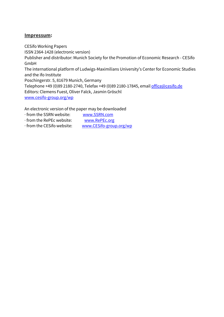#### **Impressum:**

CESifo Working Papers ISSN 2364-1428 (electronic version) Publisher and distributor: Munich Society for the Promotion of Economic Research - CESifo GmbH The international platform of Ludwigs-Maximilians University's Center for Economic Studies and the ifo Institute Poschingerstr. 5, 81679 Munich, Germany Telephone +49 (0)89 2180-2740, Telefax +49 (0)89 2180-17845, email office@cesifo.de Editors: Clemens Fuest, Oliver Falck, Jasmin Gröschl www.cesifo-group.org/wp

An electronic version of the paper may be downloaded

- · from the SSRN website: www.SSRN.com
- · from the RePEc website: www.RePEc.org
- · from the CESifo website: www.CESifo-group.org/wp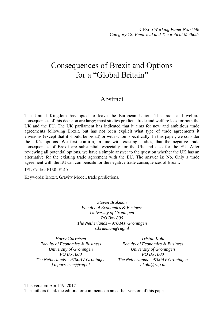## Consequences of Brexit and Options for a "Global Britain"

### Abstract

The United Kingdom has opted to leave the European Union. The trade and welfare consequences of this decision are large; most studies predict a trade and welfare loss for both the UK and the EU. The UK parliament has indicated that it aims for new and ambitious trade agreements following Brexit, but has not been explicit what type of trade agreements it envisions (except that it should be broad) or with whom specifically. In this paper, we consider the UK's options. We first confirm, in line with existing studies, that the negative trade consequences of Brexit are substantial, especially for the UK and also for the EU. After reviewing all potential options, we have a simple answer to the question whether the UK has an alternative for the existing trade agreement with the EU. The answer is: No. Only a trade agreement with the EU can compensate for the negative trade consequences of Brexit.

JEL-Codes: F130, F140.

Keywords: Brexit, Gravity Model, trade predictions.

*Steven Brakman Faculty of Economics & Business University of Groningen PO Box 800 The Netherlands – 9700AV Groningen s.brakman@rug.nl* 

*Harry Garretsen Faculty of Economics & Business University of Groningen PO Box 800 The Netherlands – 9700AV Groningen j.h.garretsen@rug.nl* 

*Tristan Kohl Faculty of Economics & Business University of Groningen PO Box 800 The Netherlands – 9700AV Groningen t.kohl@rug.nl* 

This version: April 19, 2017 The authors thank the editors for comments on an earlier version of this paper.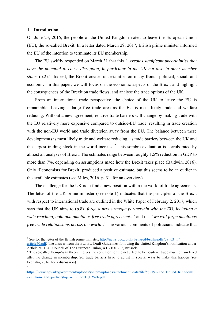#### **1. Introduction**

On June 23, 2016, the people of the United Kingdom voted to leave the European Union (EU), the so-called Brexit. In a letter dated March 29, 2017, British prime minister informed the EU of the intention to terminate its EU membership.

The EU swiftly responded on March 31 that this *'...creates significant uncertainties that have the potential to cause disruption, in particular in the UK but also in other member*  states (p.2).<sup>1</sup> Indeed, the Brexit creates uncertainties on many fronts: political, social, and economic. In this paper, we will focus on the economic aspects of the Brexit and highlight the consequences of the Brexit on trade flows, and analyse the trade options of the UK.

From an international trade perspective, the choice of the UK to leave the EU is remarkable. Leaving a large free trade area as the EU is most likely trade and welfare reducing. Without a new agreement, relative trade barriers will change by making trade with the EU relatively more expensive compared to outside-EU trade, resulting in trade creation with the non-EU world and trade diversion away from the EU. The balance between these developments is most likely trade and welfare reducing, as trade barriers between the UK and the largest trading block in the world increase.<sup>2</sup> This sombre evaluation is corroborated by almost all analyses of Brexit. The estimates range between roughly 1.5% reduction in GDP to more than 7%, depending on assumptions made how the Brexit takes place (Baldwin, 2016). Only 'Economists for Brexit' produced a positive estimate, but this seems to be an outlier in the available estimates (see Miles, 2016, p. 31, for an overview).

The challenge for the UK is to find a new position within the world of trade agreements. The letter of the UK prime minister (see note 1) indicates that the principles of the Brexit with respect to international trade are outlined in the White Paper of February 2, 2017, which says that the UK aims to (p.8) '*forge a new strategic partnership with the EU, including a wide reaching, bold and ambitious free trade agreement...*' and that '*we will forge ambitious*  free trade relationships across the world<sup>" 3</sup>. The various comments of politicians indicate that

<sup>&</sup>lt;sup>1</sup> See for the letter of the British prime minister:  $\frac{http://news.bbc.co.uk/1/shared/bsp/hi/pdfs/29_03_17_-}{http://news.bbc.co.uk/1/shared/bsp/hi/pdfs/29_03_17_-}$ 

article50.pdf. The answer from the EU: EU Draft Guidelines following the United Kingdom's notification under Article 50 TEU, Council of The European Union, XT 21001/17, Brussels.

 $2$  The so-called Kemp-Wan theorem gives the condition for the net effect to be positive: trade must remain fixed after the change in membership. So, trade barriers have to adjust in special ways to make this happen (see Feenstra, 2016, for a discussion). 3

https://www.gov.uk/government/uploads/system/uploads/attachment\_data/file/589191/The\_United\_Kingdoms\_ exit from and partnership with the EU Web.pdf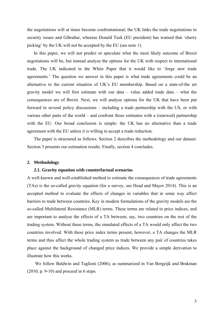the negotiations will at times become confrontational; the UK links the trade negotiations to security issues and Gibraltar, whereas Donald Tusk (EU president) has warned that 'cherry picking' by the UK will not be accepted by the EU (see note 1).

In this paper, we will not predict or speculate what the most likely outcome of Brexit negotiations will be, but instead analyse the options for the UK with respect to international trade. The UK indicated in the White Paper that it would like to 'forge new trade agreements.' The question we answer in this paper is what trade agreements could be an alternative to the current situation of UK's EU membership. Based on a state-of-the art gravity model we will first estimate with our data – value added trade data – what the consequences are of Brexit. Next, we will analyse options for the UK that have been put forward in several policy discussions – including a trade partnership with the US, or with various other parts of the world – and confront those estimates with a (renewed) partnership with the EU. Our broad conclusion is simple: the UK has no alternative than a trade agreement with the EU unless it is willing to accept a trade reduction.

The paper is structured as follows. Section 2 describes the methodology and our dataset. Section 3 presents our estimation results. Finally, section 4 concludes.

#### **2. Methodology**

#### **2.1. Gravity equation with counterfactual scenarios**

A well-known and well-established method to estimate the consequences of trade agreements (TAs) is the so-called gravity equation (for a survey, see Head and Mayer 2014). This is an accepted method to evaluate the effects of changes in variables that in some way affect barriers to trade between countries. Key in modern formulations of the gravity models are the so-called Multilateral Resistance (MLR) terms. These terms are related to price indices, and are important to analyse the effects of a TA between, say, two countries on the rest of the trading system. Without these terms, the simulated effects of a TA would only affect the two countries involved. With these price index terms present, however, a TA changes the MLR terms and thus affect the whole trading system as trade between any pair of countries takes place against the background of changed price indices. We provide a simple derivation to illustrate how this works.

We follow Baldwin and Taglioni (2006), as summarized in Van Bergeijk and Brakman  $(2010, p. 9-10)$  and proceed in 6 steps.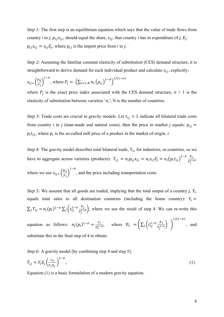*Step 1:* The first step is an equilibrium equation which says that the value of trade flows from country *i* to *j*,  $p_{ij}x_{ij}$ , should equal the share,  $s_{ij}$ , that country *i* has in expenditure of *j*,  $E_j$ :  $p_{ij}x_{ij} = s_{ij}E_j$ , where  $p_{ij}$  is the import price from *i* to *j*.

*Step 2:* Assuming the familiar constant elasticity of substitution *(CES)* demand structure, it is straightforward to derive demand for each individual product and calculate  $s_{ij}$ , explicitly:

$$
S_{ij} = \left(\frac{p_{ij}}{P_j}\right)^{1-\sigma}, \text{ where } P_j = \left(\sum_{i=1..N} n_i \left(p_{ij}\right)^{1-\sigma}\right)^{1/(1-\sigma)}
$$

where  $P_j$  is the exact price index associated with the CES demand structure;  $\sigma > 1$  is the elasticity of substitution between varieties '*ni*'; N is the number of countries.

*Step 3:* Trade costs are crucial in gravity models. Let  $t_{ij} > 1$  indicate all bilateral trade costs from country *i* to *j* (man-made and natural costs), then the price in market *j* equals:  $p_{ij}$  =  $p_i t_{ij}$ , where  $p_i$  is the so-called mill price of a product in the market of origin, *i*.

*Step 4:* The gravity model describes total bilateral trade, T<sub>ij</sub>, for industries, or countries, so we have to aggregate across varieties (products):  $T_{ij} = n_i p_{ij} x_{ij} = n_i s_{ij} E_j = n_i (p_i t_{ij})^{1-\sigma} \frac{E_j}{p_i!}$  $\frac{L_j}{P_j^{1-\sigma}},$ where we use  $S_{ij} = \left(\frac{p_{ij}}{R}\right)^{1/2}$  $\frac{p_{ij}}{P_j}$  $1-\sigma$ , and the price including transportation costs.

*Step 5:* We assume that all goods are traded, implying that the total output of a country *j, Yj*, equals total sales to all destination countries (including the home country):  $Y_i =$  $\sum_j T_{ij} = n_i (p_i)^{1-\sigma} \sum_j \left( t_{ij}^{1-\sigma} \frac{E_j}{p_j^{1-\sigma}} \right)$ , where we use the result of step 4. We can re-write this

equation as follows:  $n_i(p_i)^{1-\sigma} = \frac{Y_i}{\Pi_i^{1-\sigma}}$ , where  $\Pi_i = \left(\sum_j \left(t_{ij}^{1-\sigma} \frac{E_j}{P_j^{1-\sigma}}\right) \right)$  $1/(1-\sigma)$ , and substitute this in the final step of 4 to obtain:

*Step 6:* A gravity model [by combining step 4 and step 5]:

$$
T_{ij} = Y_i E_j \left(\frac{t_{ij}}{P_j \Pi_i}\right)^{1-\sigma},\tag{1}
$$

Equation (1) is a basic formulation of a modern gravity equation.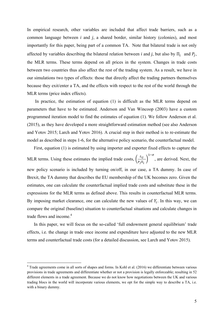In empirical research, other variables are included that affect trade barriers, such as a common language between *i* and *j*, a shared border, similar history (colonies), and most importantly for this paper, being part of a common TA. Note that bilateral trade is not only affected by variables describing the bilateral relation between *i* and *j*, but also by  $\Pi_i$  and  $P_i$ , the MLR terms. These terms depend on all prices in the system. Changes in trade costs between two countries thus also affect the rest of the trading system. As a result, we have in our simulations two types of effects: those that directly affect the trading partners themselves because they exit/enter a TA, and the effects with respect to the rest of the world through the MLR terms (price index effects).

In practice, the estimation of equation (1) is difficult as the MLR terms depend on parameters that have to be estimated. Anderson and Van Wincoop (2003) have a custom programmed iteration model to find the estimates of equation (1). We follow Anderson et al. (2015), as they have developed a more straightforward estimation method (see also Anderson and Yotov 2015; Larch and Yotov 2016). A crucial step in their method is to re-estimate the model as described in steps 1-6, for the alternative policy scenario, the counterfactual model.

First, equation (1) is estimated by using importer and exporter fixed effects to capture the MLR terms. Using these estimates the implied trade costs,  $\left(\frac{t_{ij}}{R}\right)$  $P_j\Pi_i$ ൰  $1-\sigma$ , are derived. Next, the new policy scenario is included by turning on/off, in our case, a TA dummy. In case of Brexit, the TA dummy that describes the EU membership of the UK becomes zero. Given the estimates, one can calculate the counterfactual implied trade costs and substitute these in the expressions for the MLR terms as defined above. This results in counterfactual MLR terms. By imposing market clearance, one can calculate the new values of  $Y_i$ . In this way, we can compare the original (baseline) situation to counterfactual situations and calculate changes in trade flows and income.<sup>4</sup>

In this paper, we will focus on the so-called 'full endowment general equilibrium' trade effects, i.e. the change in trade once income and expenditure have adjusted to the new MLR terms and counterfactual trade costs (for a detailed discussion, see Larch and Yotov 2015).

<sup>&</sup>lt;sup>4</sup> Trade agreements come in all sorts of shapes and forms. In Kohl et al. (2016) we differentiate between various provisions in trade agreements and differentiate whether or not a provision is legally enforceable; resulting in 52 different elements in a trade agreement. Because we do not know how negotiations between the UK and various trading blocs in the world will incorporate various elements, we opt for the simple way to describe a TA, i.e. with a binary dummy.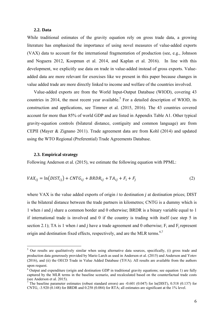#### **2.2. Data**

While traditional estimates of the gravity equation rely on gross trade data, a growing literature has emphasized the importance of using novel measures of value-added exports (VAX) data to account for the international fragmentation of production (see, e.g., Johnson and Noguera 2012, Koopman et al. 2014, and Kaplan et al. 2016). In line with this development, we explicitly use data on trade in value-added instead of gross exports. Valueadded data are more relevant for exercises like we present in this paper because changes in value added trade are more directly linked to income and welfare of the countries involved.

Value-added exports are from the World Input-Output Database (WIOD), covering 43 countries in 2014, the most recent year available.<sup>5</sup> For a detailed description of WIOD, its construction and applications, see Timmer et al. (2015, 2016). The 43 countries covered account for more than 85% of world GDP and are listed in Appendix Table A1. Other typical gravity-equation controls (bilateral distance, contiguity and common language) are from CEPII (Mayer & Zignano 2011). Trade agreement data are from Kohl (2014) and updated using the WTO Regional (Preferential) Trade Agreements Database.

#### **2.3. Empirical strategy**

Following Anderson et al. (2015), we estimate the following equation with PPML:

$$
VAX_{ij} = \ln(DIST_{ij}) + CNTG_{ij} + BRDR_{ij} + TA_{ij} + F_i + F_j
$$
\n<sup>(2)</sup>

where VAX is the value added exports of origin *i* to destination *j* at destination prices; DIST is the bilateral distance between the trade partners in kilometres; CNTG is a dummy which is 1 when *i* and *j* share a common border and 0 otherwise; BRDR is a binary variable equal to 1 if international trade is involved and 0 if the country is trading with itself (see step 5 in section 2.1); TA is 1 when *i* and *j* have a trade agreement and 0 otherwise;  $F_i$  and  $F_j$  represent origin and destination fixed effects, respectively, and are the MLR terms.<sup>6,7</sup>

<sup>&</sup>lt;sup>5</sup> Our results are qualitatively similar when using alternative data sources, specifically, (i) gross trade and production data generously provided by Mario Larch as used in Anderson et al. (2015) and Anderson and Yotov (2016), and (ii) the OECD Trade in Value Added Database (TiVA). All results are available from the authors upon request.

<sup>&</sup>lt;sup>6</sup> Output and expenditure (origin and destination GDP in traditional gravity equations; see equation 1) are fully captured by the MLR terms in the baseline scenario, and recalculated based on the counterfactual trade costs (see Anderson et al. 2015).

<sup>7</sup> The baseline parameter estimates (robust standard errors) are -0.601 (0.047) for ln(DIST), 0.518 (0.137) for CNTG, -3.920 (0.148) for BRDR and 0.258 (0.084) for RTA; all estimates are significant at the 1% level.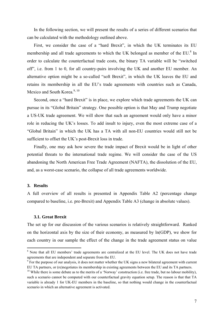In the following section, we will present the results of a series of different scenarios that can be calculated with the methodology outlined above.

First, we consider the case of a "hard Brexit", in which the UK terminates its EU membership and all trade agreements to which the UK belonged as member of the EU.<sup>8</sup> In order to calculate the counterfactual trade costs, the binary TA variable will be "switched off", i.e. from 1 to 0, for all country-pairs involving the UK and another EU member. An alternative option might be a so-called "soft Brexit", in which the UK leaves the EU and retains its membership in all the EU's trade agreements with countries such as Canada, Mexico and South Korea<sup>9, 10</sup>

Second, once a "hard Brexit" is in place, we explore which trade agreements the UK can pursue in its "Global Britain" strategy. One possible option is that May and Trump negotiate a US-UK trade agreement. We will show that such an agreement would only have a minor role in reducing the UK's losses. To add insult to injury, even the most extreme case of a "Global Britain" in which the UK has a TA with all non-EU countries would still not be sufficient to offset the UK's post-Brexit loss in trade.

Finally, one may ask how severe the trade impact of Brexit would be in light of other potential threats to the international trade regime. We will consider the case of the US abandoning the North American Free Trade Agreement (NAFTA), the dissolution of the EU, and, as a worst-case scenario, the collapse of all trade agreements worldwide.

#### **3. Results**

A full overview of all results is presented in Appendix Table A2 (percentage change compared to baseline, i.e. pre-Brexit) and Appendix Table A3 (change in absolute values).

#### **3.1. Great Brexit**

The set up for our discussion of the various scenarios is relatively straightforward. Ranked on the horizontal axis by the size of their economy, as measured by ln(GDP), we show for each country in our sample the effect of the change in the trade agreement status on value

<sup>&</sup>lt;sup>8</sup> Note that all EU members' trade agreements are centralized at the EU level. The UK does not have trade agreements that are independent and separate from the EU.

<sup>&</sup>lt;sup>9</sup> For the purpose of our analysis, it does not matter whether the UK signs a new bilateral agreement with current EU TA partners, or (re)negotiates its membership in existing agreements between the EU and its TA partners. 10 While there is some debate as to the merits of a 'Norway' construction (i.e. free trade, but no labour mobility),

such a scenario cannot be computed with our counterfactual gravity equation setup. The reason is that that TA variable is already 1 for UK-EU members in the baseline, so that nothing would change in the counterfactual scenario in which an alternative agreement is activated.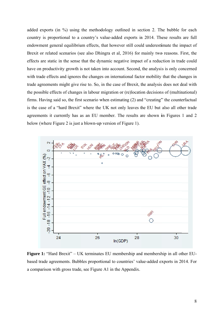added exports (in %) using the methodology outlined in section 2. The bubble for each country is proportional to a country's value-added exports in 2014. These results are full endowment general equilibrium effects, that however still could underestimate the impact of Brexit or related scenarios (see also Dhingra et al, 2016) for mainly two reasons. First, the effects are static in the sense that the dynamic negative impact of a reduction in trade could have on productivity growth is not taken into account. Second, the analysis is only concerned with trade effects and ignores the changes on international factor mobility that the changes in trade agreements might give rise to. So, in the case of Brexit, the analysis does not deal with the possible effects of changes in labour migration or (re)location decisions of (multinational) firms. Having said so, the first scenario when estimating (2) and "creating" the counterfactual is the case of a "hard Brexit" where the UK not only leaves the EU but also all other trade agreements it currently has as an EU member. The results are shown in Figures 1 and 2 below (where Figure 2 is just a blown-up version of Figure 1).



Figure 1: "Hard Brexit" – UK terminates EU membership and membership in all other EUbased trade agreements. Bubbles proportional to countries' value-added exports in 2014. For a comparison with gross trade, see Figure A1 in the Appendix.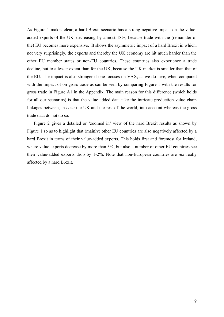As Figure 1 makes clear, a hard Brexit scenario has a strong negative impact on the valueadded exports of the UK, decreasing by almost 18%, because trade with the (remainder of the) EU becomes more expensive. It shows the asymmetric impact of a hard Brexit in which, not very surprisingly, the exports and thereby the UK economy are hit much harder than the other EU member states or non-EU countries. These countries also experience a trade decline, but to a lesser extent than for the UK, because the UK market is smaller than that of the EU. The impact is also stronger if one focuses on VAX, as we do here, when compared with the impact of on gross trade as can be seen by comparing Figure 1 with the results for gross trade in Figure A1 in the Appendix. The main reason for this difference (which holds for all our scenarios) is that the value-added data take the intricate production value chain linkages between, in *casu* the UK and the rest of the world, into account whereas the gross trade data do not do so.

Figure 2 gives a detailed or 'zoomed in' view of the hard Brexit results as shown by Figure 1 so as to highlight that (mainly) other EU countries are also negatively affected by a hard Brexit in terms of their value-added exports. This holds first and foremost for Ireland, where value exports decrease by more than 3%, but also a number of other EU countries see their value-added exports drop by 1-2%. Note that non-European countries are *not* really affected by a hard Brexit.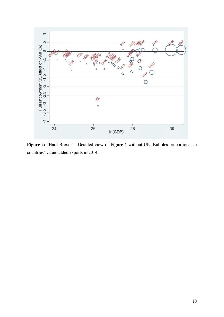

Figure 2: "Hard Brexit" - Detailed view of Figure 1 without UK. Bubbles proportional to countries' value-added exports in 2014.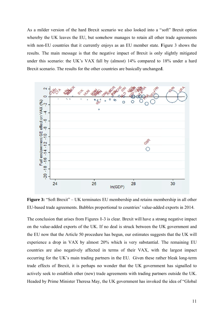As a milder version of the hard Brexit scenario we also looked into a "soft" Brexit option whereby the UK leaves the EU, but somehow manages to retain all other trade agreements with non-EU countries that it currently enjoys as an EU member state. Figure 3 shows the results. The main message is that the negative impact of Brexit is only slightly mitigated under this scenario: the UK's VAX fall by (almost) 14% compared to 18% under a hard Brexit scenario. The results for the other countries are basically unchanged.



**Figure 3:** "Soft Brexit" – UK terminates EU membership and retains membership in all other EU-based trade agreements. Bubbles proportional to countries' value-added exports in 2014.

The conclusion that arises from Figures 1-3 is clear. Brexit will have a strong negative impact on the value-added exports of the UK. If no deal is struck between the UK government and the EU now that the Article 50 procedure has begun, our estimates suggests that the UK will experience a drop in VAX by almost 20% which is very substantial. The remaining EU countries are also negatively affected in terms of their VAX, with the largest impact occurring for the UK's main trading partners in the EU. Given these rather bleak long-term trade effects of Brexit, it is perhaps no wonder that the UK government has signalled to actively seek to establish other (new) trade agreements with trading partners outside the UK. Headed by Prime Minister Theresa May, the UK government has invoked the idea of "Global"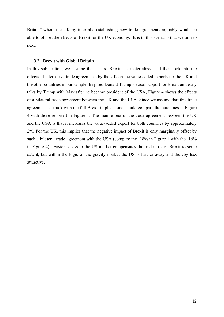Britain" where the UK by inter alia establishing new trade agreements arguably would be able to off-set the effects of Brexit for the UK economy. It is to this scenario that we turn to next.

#### **3.2. Brexit with Global Britain**

In this sub-section, we assume that a hard Brexit has materialized and then look into the effects of alternative trade agreements by the UK on the value-added exports for the UK and the other countries in our sample. Inspired Donald Trump's vocal support for Brexit and early talks by Trump with May after he became president of the USA, Figure 4 shows the effects of a bilateral trade agreement between the UK and the USA. Since we assume that this trade agreement is struck with the full Brexit in place, one should compare the outcomes in Figure 4 with those reported in Figure 1. The main effect of the trade agreement between the UK and the USA is that it increases the value-added export for both countries by approximately 2%. For the UK, this implies that the negative impact of Brexit is only marginally offset by such a bilateral trade agreement with the USA (compare the -18% in Figure 1 with the -16% in Figure 4). Easier access to the US market compensates the trade loss of Brexit to some extent, but within the logic of the gravity market the US is further away and thereby less attractive.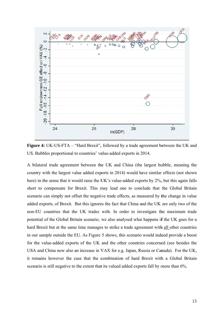

Figure 4: UK-US-FTA – "Hard Brexit", followed by a trade agreement between the UK and US. Bubbles proportional to countries' value-added exports in 2014.

A bilateral trade agreement between the UK and China (the largest bubble, meaning the country with the largest value added exports in 2014) would have similar effects (not shown here) in the sense that it would raise the UK's value-added exports by 2%, but this again falls short to compensate for Brexit. This may lead one to conclude that the Global Britain scenario can simply not offset the negative trade effects, as measured by the change in value added exports, of Brexit. But this ignores the fact that China and the UK are only two of the non-EU countries that the UK trades with. In order to investigate the maximum trade potential of the Global Britain scenario, we also analysed what happens if the UK goes for a hard Brexit but at the same time manages to strike a trade agreement with all other countries in our sample outside the EU. As Figure 5 shows, this scenario would indeed provide a boost for the value-added exports of the UK and the other countries concerned (see besides the USA and China now also an increase in VAX for e.g. Japan, Russia or Canada). For the UK, it remains however the case that the combination of hard Brexit with a Global Britain scenario is still negative to the extent that its valued added exports fall by more than 6%.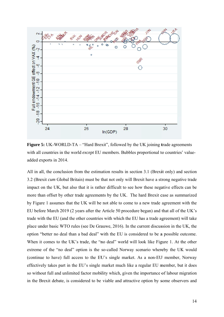

Figure 5: UK-WORLD-TA – "Hard Brexit", followed by the UK joining trade agreements with all countries in the world *except* EU members. Bubbles proportional to countries' valueadded exports in 2014.

All in all, the conclusion from the estimation results in section 3.1 (Brexit only) and section 3.2 (Brexit cum Global Britain) must be that not only will Brexit have a strong negative trade impact on the UK, but also that it is rather difficult to see how these negative effects can be more than offset by other trade agreements by the UK. The hard Brexit case as summarized by Figure 1 assumes that the UK will be not able to come to a new trade agreement with the EU before March 2019 (2 years after the Article 50 procedure began) and that all of the UK's trade with the EU (and the other countries with which the EU has a trade agreement) will take place under basic WTO rules (see De Grauwe, 2016). In the current discussion in the UK, the option "better no deal than a bad deal" with the EU is considered to be a possible outcome. When it comes to the UK's trade, the "no deal" world will look like Figure 1. At the other extreme of the "no deal" option is the so-called Norway scenario whereby the UK would (continue to have) full access to the EU's single market. As a non-EU member, Norway effectively takes part in the EU's single market much like a regular EU member, but it does so without full and unlimited factor mobility which, given the importance of labour migration in the Brexit debate, is considered to be viable and attractive option by some observers and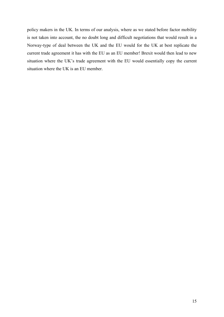policy makers in the UK. In terms of our analysis, where as we stated before factor mobility is not taken into account, the no doubt long and difficult negotiations that would result in a Norway-type of deal between the UK and the EU would for the UK at best replicate the current trade agreement it has with the EU as an EU member! Brexit would then lead to new situation where the UK's trade agreement with the EU would essentially copy the current situation where the UK is an EU member.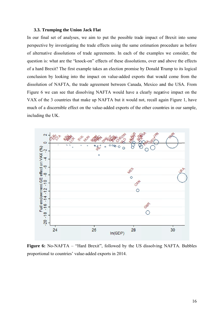#### 3.3. Trumping the Union Jack Flat

In our final set of analyses, we aim to put the possible trade impact of Brexit into some perspective by investigating the trade effects using the same estimation procedure as before of alternative dissolutions of trade agreements. In each of the examples we consider, the question is: what are the "knock-on" effects of these dissolutions, over and above the effects of a hard Brexit? The first example takes an election promise by Donald Trump to its logical conclusion by looking into the impact on value-added exports that would come from the dissolution of NAFTA, the trade agreement between Canada, Mexico and the USA. From Figure 6 we can see that dissolving NAFTA would have a clearly negative impact on the VAX of the 3 countries that make up NAFTA but it would not, recall again Figure 1, have much of a discernible effect on the value-added exports of the other countries in our sample, including the UK.



**Figure 6:** No-NAFTA – "Hard Brexit", followed by the US dissolving NAFTA. Bubbles proportional to countries' value-added exports in 2014.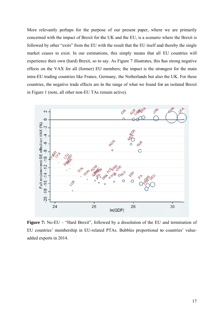More relevantly perhaps for the purpose of our present paper, where we are primarily concerned with the impact of Brexit for the UK and the EU, is a scenario where the Brexit is followed by other "exits" from the EU with the result that the EU itself and thereby the single market ceases to exist. In our estimations, this simply means that all EU countries will experience their own (hard) Brexit, so to say. As Figure 7 illustrates, this has strong negative effects on the VAX for all (former) EU members; the impact is the strongest for the main intra-EU trading countries like France, Germany, the Netherlands but also the UK. For these countries, the negative trade effects are in the range of what we found for an isolated Brexit in Figure 1 (note, all other non-EU TAs remain active).



**Figure 7:** No-EU – "Hard Brexit", followed by a dissolution of the EU and termination of EU countries' membership in EU-related PTAs. Bubbles proportional to countries' valueadded exports in 2014.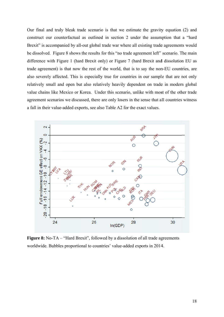Our final and truly bleak trade scenario is that we estimate the gravity equation (2) and construct our counterfactual as outlined in section 2 under the assumption that a "hard" Brexit" is accompanied by all-out global trade war where all existing trade agreements would be dissolved. Figure 8 shows the results for this "no trade agreement left" scenario. The main difference with Figure 1 (hard Brexit only) or Figure 7 (hard Brexit and dissolution EU as trade agreement) is that now the rest of the world, that is to say the non-EU countries, are also severely affected. This is especially true for countries in our sample that are not only relatively small and open but also relatively heavily dependent on trade in modern global value chains like Mexico or Korea. Under this scenario, unlike with most of the other trade agreement scenarios we discussed, there are only losers in the sense that all countries witness a fall in their value-added exports, see also Table A2 for the exact values.



**Figure 8:** No-TA – "Hard Brexit", followed by a dissolution of all trade agreements worldwide. Bubbles proportional to countries' value-added exports in 2014.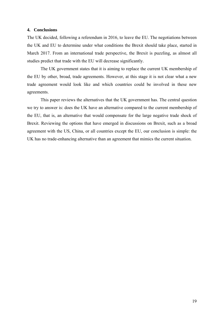#### **4. Conclusions**

The UK decided, following a referendum in 2016, to leave the EU. The negotiations between the UK and EU to determine under what conditions the Brexit should take place, started in March 2017. From an international trade perspective, the Brexit is puzzling, as almost all studies predict that trade with the EU will decrease significantly.

The UK government states that it is aiming to replace the current UK membership of the EU by other, broad, trade agreements. However, at this stage it is not clear what a new trade agreement would look like and which countries could be involved in these new agreements.

This paper reviews the alternatives that the UK government has. The central question we try to answer is: does the UK have an alternative compared to the current membership of the EU, that is, an alternative that would compensate for the large negative trade shock of Brexit. Reviewing the options that have emerged in discussions on Brexit, such as a broad agreement with the US, China, or all countries except the EU, our conclusion is simple: the UK has no trade-enhancing alternative than an agreement that mimics the current situation.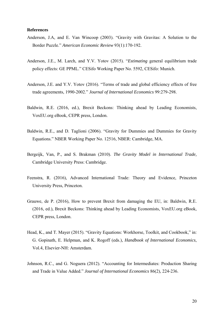#### **References**

- Anderson, J.A, and E. Van Wincoop (2003). "Gravity with Gravitas: A Solution to the Border Puzzle." *American Economic Review* 93(1):170-192.
- Anderson, J.E., M. Larch, and Y.V. Yotov (2015). "*Estimating* general equilibrium trade policy effects: GE PPML." CESifo Working Paper No. 5592, CESifo: Munich.
- Anderson, J.E. and Y.V. Yotov (2016). "Terms of trade and global efficiency effects of free trade agreements, 1990-2002." *Journal of International Economics* 99:279-298.
- Baldwin, R.E. (2016, ed.), Brexit Beckons: Thinking ahead by Leading Economists, VoxEU.org eBook, CEPR press, London.
- Baldwin, R.E., and D. Taglioni (2006). "Gravity for Dummies and Dummies for Gravity Equations." NBER Working Paper No. 12516, NBER: Cambridge, MA.
- Bergeijk, Van, P., and S. Brakman (2010). *The Gravity Model in International Trade,* Cambridge University Press: Cambridge.
- Feenstra, R. (2016), Advanced International Trade: Theory and Evidence, Princeton University Press, Princeton.
- Grauwe, de P. (2016), How to prevent Brexit from damaging the EU, in: Baldwin, R.E. (2016, ed.), Brexit Beckons: Thinking ahead by Leading Economists, VoxEU.org eBook, CEPR press, London.
- Head, K., and T. Mayer (2015). "Gravity Equations: Workhorse, Toolkit, and Cookbook," in: G. Gopinath, E. Helpman, and K. Rogoff (eds.), *Handbook of International Economics*, Vol.4, Elsevier-NH: Amsterdam.
- Johnson, R.C., and G. Noguera (2012). "Accounting for Intermediates: Production Sharing and Trade in Value Added." *Journal of International Economics* 86(2), 224-236.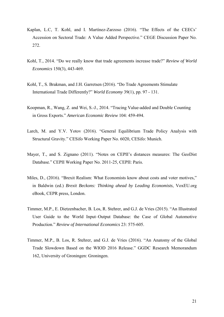- Kaplan, L.C, T. Kohl, and I. Martínez-Zarzoso (2016). "The Effects of the CEECs' Accession on Sectoral Trade: A Value Added Perspective." CEGE Discussion Paper No. 272.
- Kohl, T., 2014. "Do we really know that trade agreements increase trade?" *Review of World Economics* 150(3), 443-469.
- Kohl, T., S. Brakman, and J.H. Garretsen (2016). "Do Trade Agreements Stimulate International Trade Differently?" *World Economy* 39(1), pp. 97 - 131.
- Koopman, R., Wang, Z. and Wei, S.-J., 2014. "Tracing Value-added and Double Counting in Gross Exports." *American Economic Review* 104: 459-494.
- Larch, M. and Y.V. Yotov (2016). "General Equilibrium Trade Policy Analysis with Structural Gravity." CESifo Working Paper No. 6020, CESifo: Munich.
- Mayer, T., and S. Zignano (2011). "Notes on CEPII's distances measures: The GeoDist Database." CEPII Working Paper No. 2011-25, CEPII: Paris.
- Miles, D., (2016). "Brexit Realism: What Economists know about costs and voter motives," in Baldwin (ed.) *Brexit Beckons: Thinking ahead by Leading Economists*, VoxEU.org eBook, CEPR press, London.
- Timmer, M.P., E. Dietzenbacher, B. Los, R. Stehrer, and G.J. de Vries (2015). "An Illustrated User Guide to the World Input–Output Database: the Case of Global Automotive Production." *Review of International Economics* 23: 575-605.
- Timmer, M.P., B. Los, R. Stehrer, and G.J. de Vries (2016). "An Anatomy of the Global Trade Slowdown Based on the WIOD 2016 Release." GGDC Research Memorandum 162, University of Groningen: Groningen.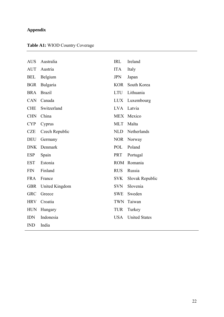## **Appendix**

## **Table A1:** WIOD Country Coverage

| <b>AUS</b> | Australia      | <b>IRL</b> | Ireland              |
|------------|----------------|------------|----------------------|
| <b>AUT</b> | Austria        | <b>ITA</b> | Italy                |
| <b>BEL</b> | Belgium        | <b>JPN</b> | Japan                |
| <b>BGR</b> | Bulgaria       | <b>KOR</b> | South Korea          |
| <b>BRA</b> | <b>Brazil</b>  | <b>LTU</b> | Lithuania            |
| <b>CAN</b> | Canada         | <b>LUX</b> | Luxembourg           |
| <b>CHE</b> | Switzerland    | <b>LVA</b> | Latvia               |
| <b>CHN</b> | China          | <b>MEX</b> | Mexico               |
| <b>CYP</b> | Cyprus         | MLT        | Malta                |
| <b>CZE</b> | Czech Republic | <b>NLD</b> | Netherlands          |
| <b>DEU</b> | Germany        | <b>NOR</b> | Norway               |
| <b>DNK</b> | Denmark        | POL        | Poland               |
| <b>ESP</b> | Spain          | <b>PRT</b> | Portugal             |
| <b>EST</b> | Estonia        | <b>ROM</b> | Romania              |
| <b>FIN</b> | Finland        | <b>RUS</b> | Russia               |
| <b>FRA</b> | France         | <b>SVK</b> | Slovak Republic      |
| <b>GBR</b> | United Kingdom | <b>SVN</b> | Slovenia             |
| <b>GRC</b> | Greece         | SWE        | Sweden               |
| <b>HRV</b> | Croatia        | <b>TWN</b> | Taiwan               |
| <b>HUN</b> | Hungary        | <b>TUR</b> | Turkey               |
| <b>IDN</b> | Indonesia      | <b>USA</b> | <b>United States</b> |
| <b>IND</b> | India          |            |                      |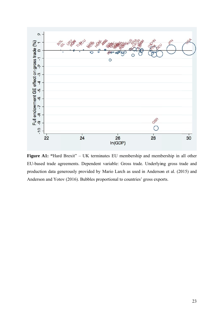

Figure A1: "Hard Brexit" - UK terminates EU membership and membership in all other EU-based trade agreements. Dependent variable: Gross trade. Underlying gross trade and production data generously provided by Mario Larch as used in Anderson et al. (2015) and Anderson and Yotov (2016). Bubbles proportional to countries' gross exports.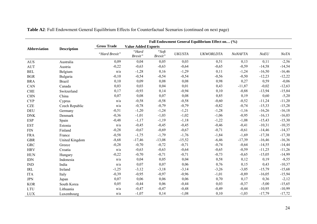|              | <b>Description</b> | Full Endowment General Equilibrium Effect on (%) |                            |                  |               |                  |                |          |          |
|--------------|--------------------|--------------------------------------------------|----------------------------|------------------|---------------|------------------|----------------|----------|----------|
| Abbreviation |                    | <b>Gross Trade</b>                               | <b>Value Added Exports</b> |                  |               |                  |                |          |          |
|              |                    | "Hard Brexit"                                    | "Hard<br>Brexit"           | "Soft<br>Brexit" | <b>UKUSTA</b> | <b>UKWORLDTA</b> | <b>NoNAFTA</b> | NoEU     | NoTA     |
| <b>AUS</b>   | Australia          | 0,09                                             | 0,04                       | 0,05             | 0,03          | 0,51             | 0,13           | 0,11     | $-2,56$  |
| <b>AUT</b>   | Austria            | $-0,22$                                          | $-0,63$                    | $-0,63$          | $-0,64$       | $-0,65$          | $-0,59$        | $-14,58$ | $-14,54$ |
| <b>BEL</b>   | Belgium            | n/a                                              | $-1,28$                    | 0,16             | $-1,29$       | 0,11             | $-1,24$        | $-16,50$ | $-16,46$ |
| <b>BGR</b>   | Bulgaria           | $-0,10$                                          | $-0,54$                    | $-0,54$          | $-0,54$       | $-0,56$          | $-0,50$        | $-12,23$ | $-12,22$ |
| <b>BRA</b>   | <b>Brazil</b>      | 0,10                                             | 0,09                       | 0,08             | 0,08          | 0,98             | 0,27           | 0,59     | $-0,06$  |
| CAN          | Canada             | 0,03                                             | 0,03                       | 0,04             | 0,01          | 0,43             | $-11,87$       | $-0,02$  | $-12,63$ |
| <b>CHE</b>   | Switzerland        | 0,17                                             | $-0,93$                    | 0,14             | $-0,94$       | 0,10             | $-0,88$        | $-13,94$ | $-15,84$ |
| <b>CHN</b>   | China              | 0,07                                             | 0,08                       | 0,07             | 0,08          | 0,85             | 0,19           | 0,60     | $-5,20$  |
| <b>CYP</b>   | Cyprus             | n/a                                              | $-0,58$                    | $-0,58$          | $-0,58$       | $-0,60$          | $-0,52$        | $-11,24$ | $-11,20$ |
| <b>CZE</b>   | Czech Republic     | n/a                                              | $-0,78$                    | $-0,79$          | $-0,79$       | $-0,82$          | $-0,74$        | $-15,33$ | $-15,28$ |
| <b>DEU</b>   | Germany            | $-0,51$                                          | $-1,20$                    | $-1,24$          | $-1,21$       | $-1,28$          | $-1,16$        | $-16,26$ | $-16,18$ |
| <b>DNK</b>   | Denmark            | $-0,36$                                          | $-1,01$                    | $-1,03$          | $-1,02$       | $-1,06$          | $-0,95$        | $-16,13$ | $-16,03$ |
| <b>ESP</b>   | Spain              | $-0,48$                                          | $-1,17$                    | $-1,19$          | $-1,18$       | $-1,22$          | $-1,08$        | $-15,43$ | $-15,30$ |
| <b>EST</b>   | Estonia            | n/a                                              | $-0,45$                    | $-0,45$          | $-0,45$       | $-0,46$          | $-0,41$        | $-10,31$ | $-10,35$ |
| <b>FIN</b>   | Finland            | $-0,28$                                          | $-0,67$                    | $-0,69$          | $-0,67$       | $-0,71$          | $-0,61$        | $-14,46$ | $-14,37$ |
| <b>FRA</b>   | France             | $-0,58$                                          | $-1,75$                    | $-1,79$          | $-1,76$       | $-1,84$          | $-1,69$        | $-17,38$ | $-17,30$ |
| <b>GBR</b>   | United Kingdom     | $-8,68$                                          | $-17,46$                   | $-13,08$         | $-15,52$      | $-6,46$          | $-17,39$       | $-16,46$ | $-16,36$ |
| <b>GRC</b>   | Greece             | $-0,28$                                          | $-0,70$                    | $-0,72$          | $-0,71$       | $-0,74$          | $-0,64$        | $-14,55$ | $-14,44$ |
| <b>HRV</b>   | Croatia            | n/a                                              | $-0,63$                    | $-0,63$          | $-0,64$       | $-0,65$          | $-0,59$        | $-11,25$ | $-11,26$ |
| <b>HUN</b>   | Hungary            | $-0,22$                                          | $-0,70$                    | $-0,71$          | $-0,71$       | $-0,73$          | $-0,65$        | $-15,05$ | $-14,99$ |
| <b>IDN</b>   | Indonesia          | n/a                                              | 0,04                       | 0,05             | 0,04          | 0,58             | 0,12           | 0,19     | $-8,55$  |
| <b>IND</b>   | India              | n/a                                              | 0,07                       | 0,07             | 0,06          | 0,76             | 0,15           | 0,43     | $-10,37$ |
| <b>IRL</b>   | Ireland            | $-1,25$                                          | $-3,12$                    | $-3,18$          | $-3,14$       | $-3,26$          | $-3,05$        | $-15,79$ | $-15,68$ |
| <b>ITA</b>   | Italy              | $-0,39$                                          | $-0,95$                    | $-0,97$          | $-0,96$       | $-1,01$          | $-0,89$        | $-16,05$ | $-15,94$ |
| <b>JPN</b>   | Japan              | 0,07                                             | 0,06                       | 0,06             | 0,06          | 0,70             | 0,17           | 0,36     | $-2,12$  |
| <b>KOR</b>   | South Korea        | 0,05                                             | $-0,44$                    | 0,06             | $-0,44$       | 0,03             | $-0,37$        | $-5,00$  | $-15,65$ |
| <b>LTU</b>   | Lithuania          | n/a                                              | $-0,47$                    | $-0,47$          | $-0,48$       | $-0,49$          | $-0,44$        | $-10,95$ | $-10,99$ |
| <b>LUX</b>   | Luxembourg         | n/a                                              | $-1,07$                    | 0,14             | $-1,08$       | 0,10             | $-1,03$        | $-17,79$ | $-17,72$ |

| Table A2: Full Endowment General Equilibrium Effects for Counterfactual Scenarios (continued on next page) |  |  |  |
|------------------------------------------------------------------------------------------------------------|--|--|--|
|------------------------------------------------------------------------------------------------------------|--|--|--|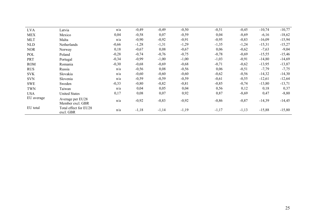| <b>LVA</b> | Latvia                               | n/a     | $-0,49$ | $-0,49$ | $-0,50$ | $-0,51$ | $-0,45$ | $-10,74$ | $-10,77$ |
|------------|--------------------------------------|---------|---------|---------|---------|---------|---------|----------|----------|
| <b>MEX</b> | Mexico                               | 0,04    | $-0,58$ | 0,07    | $-0,59$ | 0,04    | $-8,69$ | $-6,16$  | $-18,62$ |
| <b>MLT</b> | Malta                                | n/a     | $-0,90$ | $-0,92$ | $-0,91$ | $-0,95$ | $-0,83$ | $-16,09$ | $-15,94$ |
| <b>NLD</b> | Netherlands                          | $-0,66$ | $-1,28$ | $-1,31$ | $-1,29$ | $-1,35$ | $-1,24$ | $-15,31$ | $-15,27$ |
| <b>NOR</b> | Norway                               | 0,18    | $-0,67$ | 0,08    | $-0,67$ | 0,06    | $-0,62$ | $-7,63$  | $-9,04$  |
| POL        | Poland                               | $-0,28$ | $-0,74$ | $-0,76$ | $-0,75$ | $-0,78$ | $-0,69$ | $-15,55$ | $-15,46$ |
| PRT        | Portugal                             | $-0,34$ | $-0,99$ | $-1,00$ | $-1,00$ | $-1,03$ | $-0,91$ | $-14,80$ | $-14,69$ |
| <b>ROM</b> | Romania                              | $-0,30$ | $-0,68$ | $-0,69$ | $-0,68$ | $-0,71$ | $-0,62$ | $-13,95$ | $-13,87$ |
| <b>RUS</b> | Russia                               | n/a     | $-0,56$ | 0,08    | $-0,56$ | 0,06    | $-0,51$ | $-7,79$  | $-7,75$  |
| <b>SVK</b> | Slovakia                             | n/a     | $-0,60$ | $-0,60$ | $-0,60$ | $-0,62$ | $-0,56$ | $-14,32$ | $-14,30$ |
| <b>SVN</b> | Slovenia                             | n/a     | $-0,59$ | $-0,59$ | $-0,59$ | $-0,61$ | $-0,55$ | $-12,61$ | $-12,64$ |
| <b>SWE</b> | Sweden                               | $-0,33$ | $-0,80$ | $-0,82$ | $-0,81$ | $-0,85$ | $-0,74$ | $-13,80$ | $-13,71$ |
| TWN        | Taiwan                               | n/a     | 0,04    | 0,05    | 0,04    | 0,56    | 0,12    | 0,18     | 0,37     |
| <b>USA</b> | <b>United States</b>                 | 0,17    | 0,08    | 0,07    | 0,92    | 0,87    | $-8,69$ | 0,47     | $-8,80$  |
| EU average | Average per EU28<br>Member excl. GBR | n/a     | $-0,92$ | $-0,83$ | $-0,92$ | $-0,86$ | $-0,87$ | $-14,39$ | $-14,45$ |
| EU total   | Total effect for EU28<br>excl. GBR   | n/a     | $-1,18$ | $-1,14$ | $-1,19$ | $-1,17$ | $-1,13$ | $-15,88$ | $-15,80$ |